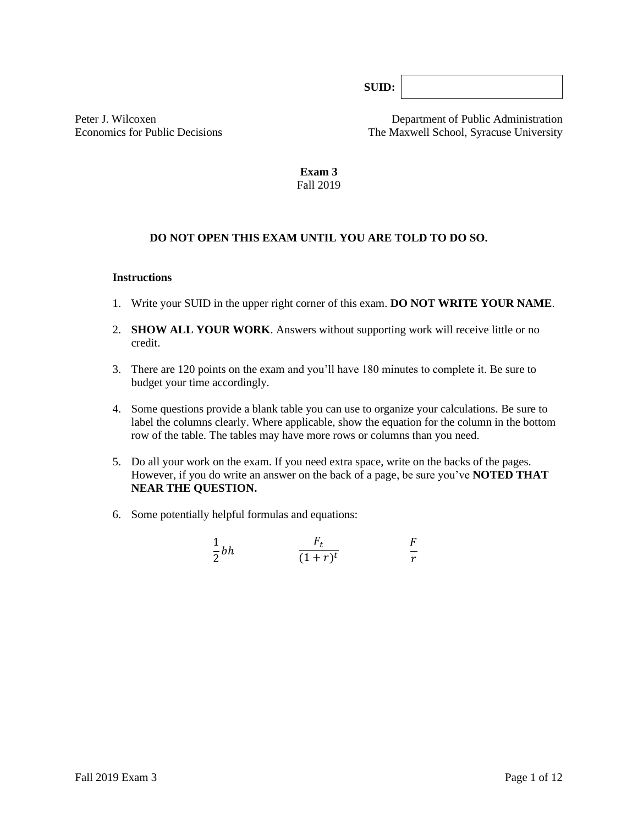**SUID:**

Peter J. Wilcoxen Department of Public Administration Economics for Public Decisions The Maxwell School, Syracuse University

> **Exam 3** Fall 2019

# **DO NOT OPEN THIS EXAM UNTIL YOU ARE TOLD TO DO SO.**

### **Instructions**

- 1. Write your SUID in the upper right corner of this exam. **DO NOT WRITE YOUR NAME**.
- 2. **SHOW ALL YOUR WORK**. Answers without supporting work will receive little or no credit.
- 3. There are 120 points on the exam and you'll have 180 minutes to complete it. Be sure to budget your time accordingly.
- 4. Some questions provide a blank table you can use to organize your calculations. Be sure to label the columns clearly. Where applicable, show the equation for the column in the bottom row of the table*.* The tables may have more rows or columns than you need.
- 5. Do all your work on the exam. If you need extra space, write on the backs of the pages. However, if you do write an answer on the back of a page, be sure you've **NOTED THAT NEAR THE QUESTION.**
- 6. Some potentially helpful formulas and equations:

$$
\frac{1}{2}bh \qquad \qquad \frac{F_t}{(1+r)^t} \qquad \qquad \frac{F}{r}
$$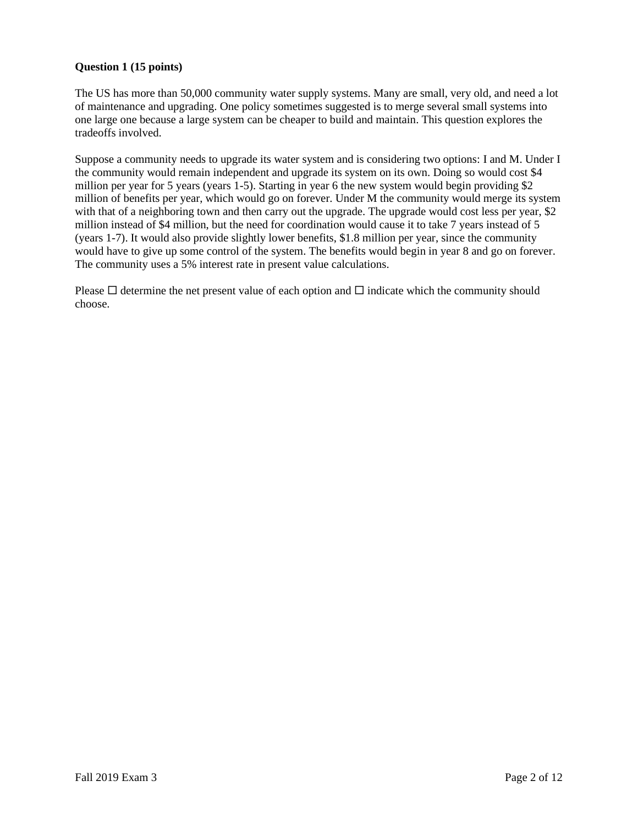## **Question 1 (15 points)**

The US has more than 50,000 community water supply systems. Many are small, very old, and need a lot of maintenance and upgrading. One policy sometimes suggested is to merge several small systems into one large one because a large system can be cheaper to build and maintain. This question explores the tradeoffs involved.

Suppose a community needs to upgrade its water system and is considering two options: I and M. Under I the community would remain independent and upgrade its system on its own. Doing so would cost \$4 million per year for 5 years (years 1-5). Starting in year 6 the new system would begin providing \$2 million of benefits per year, which would go on forever. Under M the community would merge its system with that of a neighboring town and then carry out the upgrade. The upgrade would cost less per year, \$2 million instead of \$4 million, but the need for coordination would cause it to take 7 years instead of 5 (years 1-7). It would also provide slightly lower benefits, \$1.8 million per year, since the community would have to give up some control of the system. The benefits would begin in year 8 and go on forever. The community uses a 5% interest rate in present value calculations.

Please  $\Box$  determine the net present value of each option and  $\Box$  indicate which the community should choose.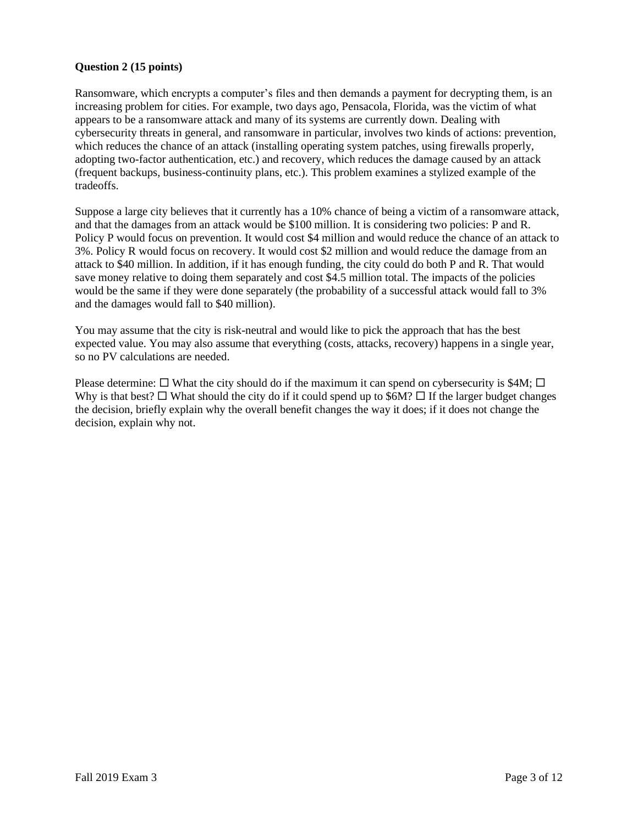## **Question 2 (15 points)**

Ransomware, which encrypts a computer's files and then demands a payment for decrypting them, is an increasing problem for cities. For example, two days ago, Pensacola, Florida, was the victim of what appears to be a ransomware attack and many of its systems are currently down. Dealing with cybersecurity threats in general, and ransomware in particular, involves two kinds of actions: prevention, which reduces the chance of an attack (installing operating system patches, using firewalls properly, adopting two-factor authentication, etc.) and recovery, which reduces the damage caused by an attack (frequent backups, business-continuity plans, etc.). This problem examines a stylized example of the tradeoffs.

Suppose a large city believes that it currently has a 10% chance of being a victim of a ransomware attack, and that the damages from an attack would be \$100 million. It is considering two policies: P and R. Policy P would focus on prevention. It would cost \$4 million and would reduce the chance of an attack to 3%. Policy R would focus on recovery. It would cost \$2 million and would reduce the damage from an attack to \$40 million. In addition, if it has enough funding, the city could do both P and R. That would save money relative to doing them separately and cost \$4.5 million total. The impacts of the policies would be the same if they were done separately (the probability of a successful attack would fall to 3% and the damages would fall to \$40 million).

You may assume that the city is risk-neutral and would like to pick the approach that has the best expected value. You may also assume that everything (costs, attacks, recovery) happens in a single year, so no PV calculations are needed.

Please determine:  $\Box$  What the city should do if the maximum it can spend on cybersecurity is \$4M;  $\Box$ Why is that best?  $\Box$  What should the city do if it could spend up to \$6M?  $\Box$  If the larger budget changes the decision, briefly explain why the overall benefit changes the way it does; if it does not change the decision, explain why not.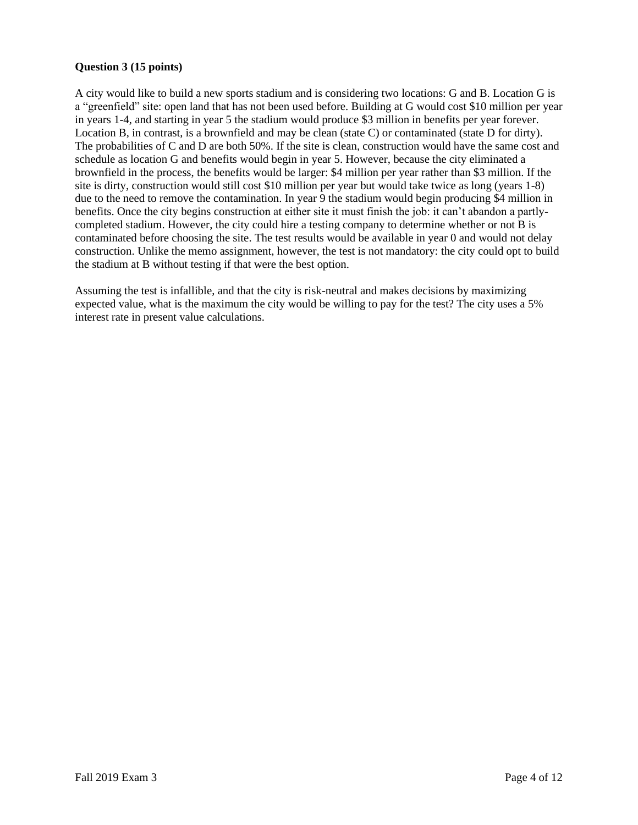## **Question 3 (15 points)**

A city would like to build a new sports stadium and is considering two locations: G and B. Location G is a "greenfield" site: open land that has not been used before. Building at G would cost \$10 million per year in years 1-4, and starting in year 5 the stadium would produce \$3 million in benefits per year forever. Location B, in contrast, is a brownfield and may be clean (state C) or contaminated (state D for dirty). The probabilities of C and D are both 50%. If the site is clean, construction would have the same cost and schedule as location G and benefits would begin in year 5. However, because the city eliminated a brownfield in the process, the benefits would be larger: \$4 million per year rather than \$3 million. If the site is dirty, construction would still cost \$10 million per year but would take twice as long (years 1-8) due to the need to remove the contamination. In year 9 the stadium would begin producing \$4 million in benefits. Once the city begins construction at either site it must finish the job: it can't abandon a partlycompleted stadium. However, the city could hire a testing company to determine whether or not B is contaminated before choosing the site. The test results would be available in year 0 and would not delay construction. Unlike the memo assignment, however, the test is not mandatory: the city could opt to build the stadium at B without testing if that were the best option.

Assuming the test is infallible, and that the city is risk-neutral and makes decisions by maximizing expected value, what is the maximum the city would be willing to pay for the test? The city uses a 5% interest rate in present value calculations.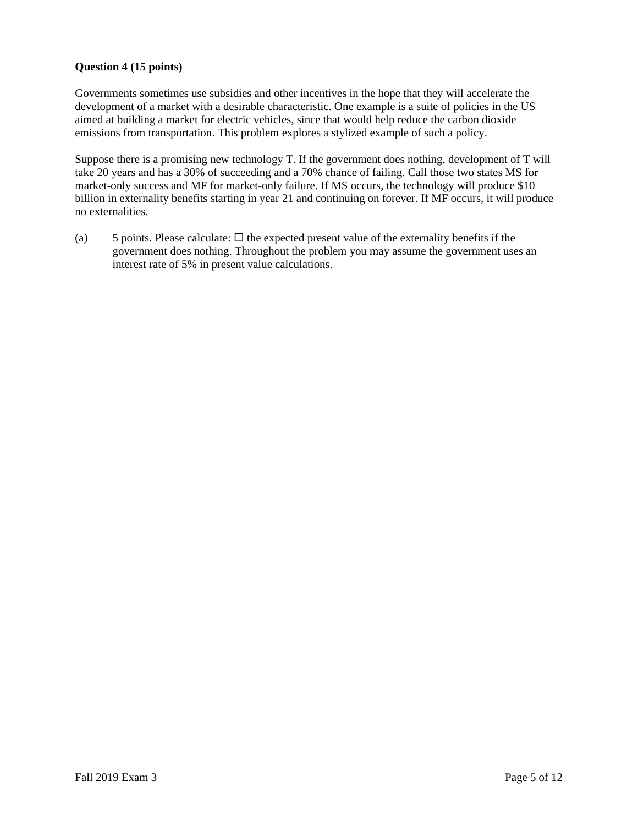## **Question 4 (15 points)**

Governments sometimes use subsidies and other incentives in the hope that they will accelerate the development of a market with a desirable characteristic. One example is a suite of policies in the US aimed at building a market for electric vehicles, since that would help reduce the carbon dioxide emissions from transportation. This problem explores a stylized example of such a policy.

Suppose there is a promising new technology T. If the government does nothing, development of T will take 20 years and has a 30% of succeeding and a 70% chance of failing. Call those two states MS for market-only success and MF for market-only failure. If MS occurs, the technology will produce \$10 billion in externality benefits starting in year 21 and continuing on forever. If MF occurs, it will produce no externalities.

(a) 5 points. Please calculate:  $\Box$  the expected present value of the externality benefits if the government does nothing. Throughout the problem you may assume the government uses an interest rate of 5% in present value calculations.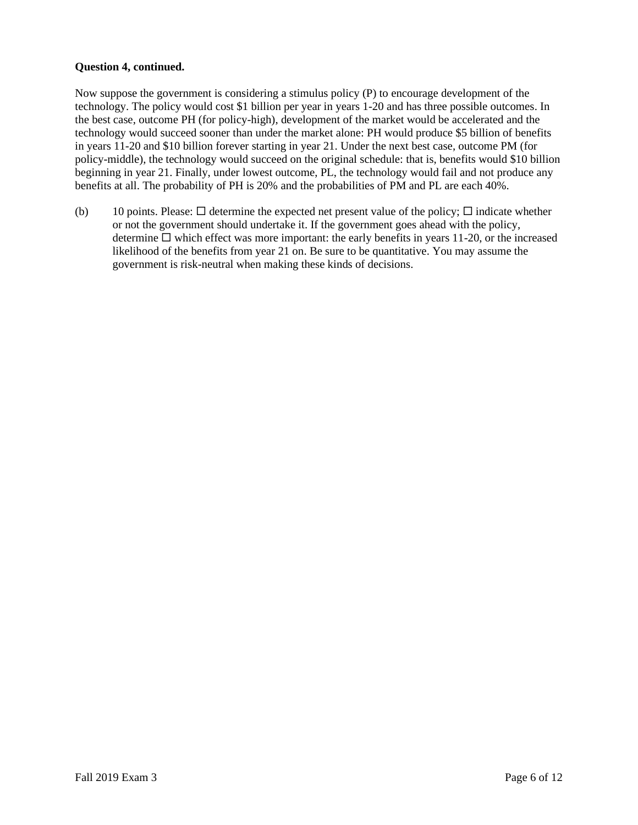## **Question 4, continued.**

Now suppose the government is considering a stimulus policy (P) to encourage development of the technology. The policy would cost \$1 billion per year in years 1-20 and has three possible outcomes. In the best case, outcome PH (for policy-high), development of the market would be accelerated and the technology would succeed sooner than under the market alone: PH would produce \$5 billion of benefits in years 11-20 and \$10 billion forever starting in year 21. Under the next best case, outcome PM (for policy-middle), the technology would succeed on the original schedule: that is, benefits would \$10 billion beginning in year 21. Finally, under lowest outcome, PL, the technology would fail and not produce any benefits at all. The probability of PH is 20% and the probabilities of PM and PL are each 40%.

(b) 10 points. Please:  $\Box$  determine the expected net present value of the policy;  $\Box$  indicate whether or not the government should undertake it. If the government goes ahead with the policy, determine  $\Box$  which effect was more important: the early benefits in years 11-20, or the increased likelihood of the benefits from year 21 on. Be sure to be quantitative. You may assume the government is risk-neutral when making these kinds of decisions.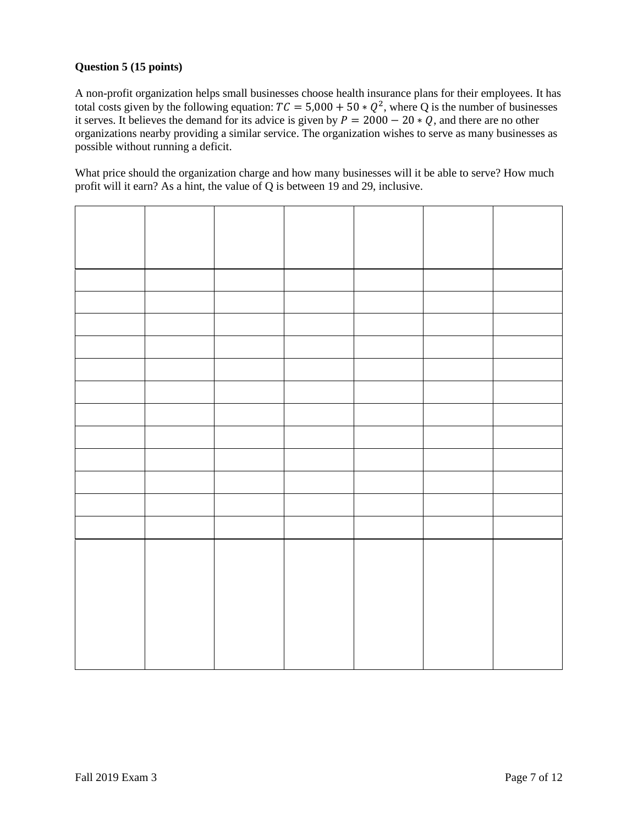# **Question 5 (15 points)**

A non-profit organization helps small businesses choose health insurance plans for their employees. It has total costs given by the following equation:  $TC = 5,000 + 50 * Q^2$ , where Q is the number of businesses it serves. It believes the demand for its advice is given by  $P = 2000 - 20 * Q$ , and there are no other organizations nearby providing a similar service. The organization wishes to serve as many businesses as possible without running a deficit.

What price should the organization charge and how many businesses will it be able to serve? How much profit will it earn? As a hint, the value of Q is between 19 and 29, inclusive.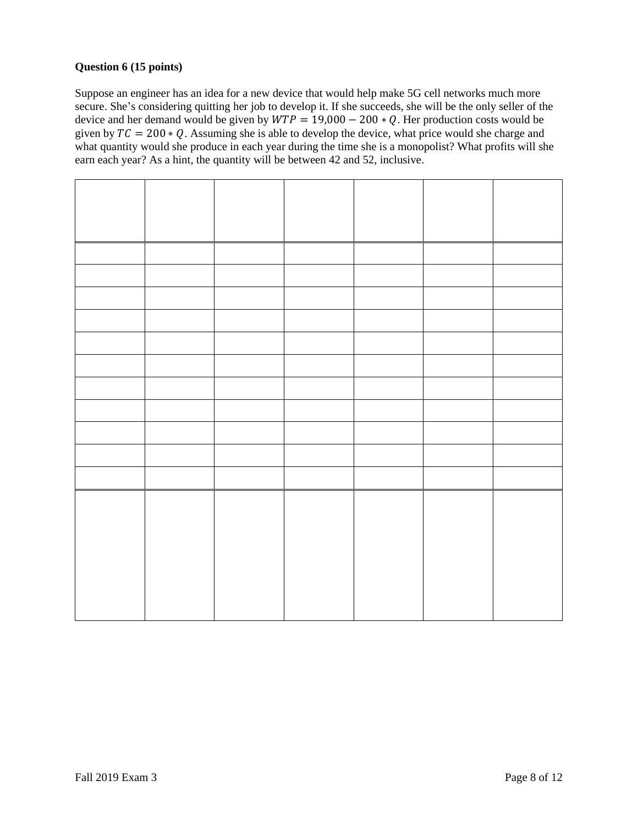## **Question 6 (15 points)**

Suppose an engineer has an idea for a new device that would help make 5G cell networks much more secure. She's considering quitting her job to develop it. If she succeeds, she will be the only seller of the device and her demand would be given by  $WTP = 19,000 - 200 * Q$ . Her production costs would be given by  $TC = 200 * Q$ . Assuming she is able to develop the device, what price would she charge and what quantity would she produce in each year during the time she is a monopolist? What profits will she earn each year? As a hint, the quantity will be between 42 and 52, inclusive.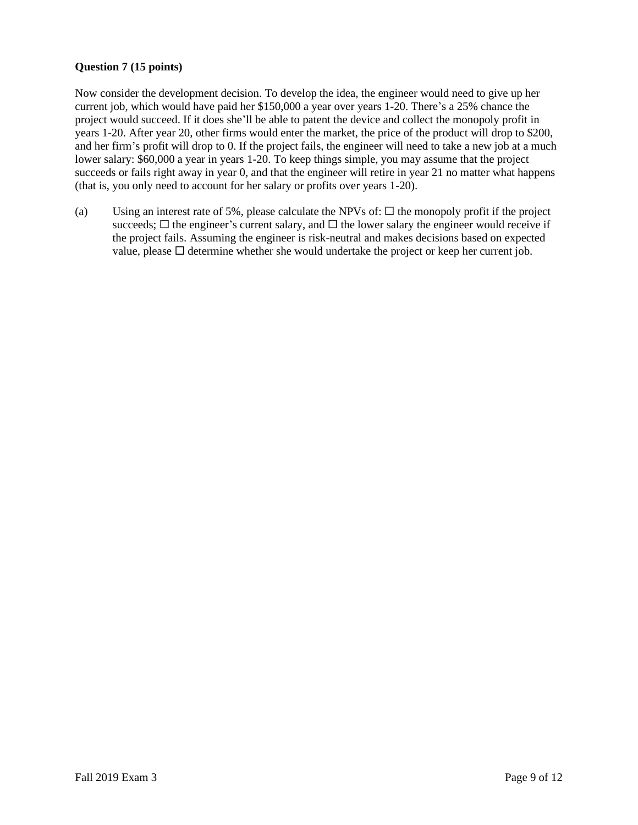## **Question 7 (15 points)**

Now consider the development decision. To develop the idea, the engineer would need to give up her current job, which would have paid her \$150,000 a year over years 1-20. There's a 25% chance the project would succeed. If it does she'll be able to patent the device and collect the monopoly profit in years 1-20. After year 20, other firms would enter the market, the price of the product will drop to \$200, and her firm's profit will drop to 0. If the project fails, the engineer will need to take a new job at a much lower salary: \$60,000 a year in years 1-20. To keep things simple, you may assume that the project succeeds or fails right away in year 0, and that the engineer will retire in year 21 no matter what happens (that is, you only need to account for her salary or profits over years 1-20).

(a) Using an interest rate of 5%, please calculate the NPVs of:  $\Box$  the monopoly profit if the project succeeds;  $\Box$  the engineer's current salary, and  $\Box$  the lower salary the engineer would receive if the project fails. Assuming the engineer is risk-neutral and makes decisions based on expected value, please  $\Box$  determine whether she would undertake the project or keep her current job.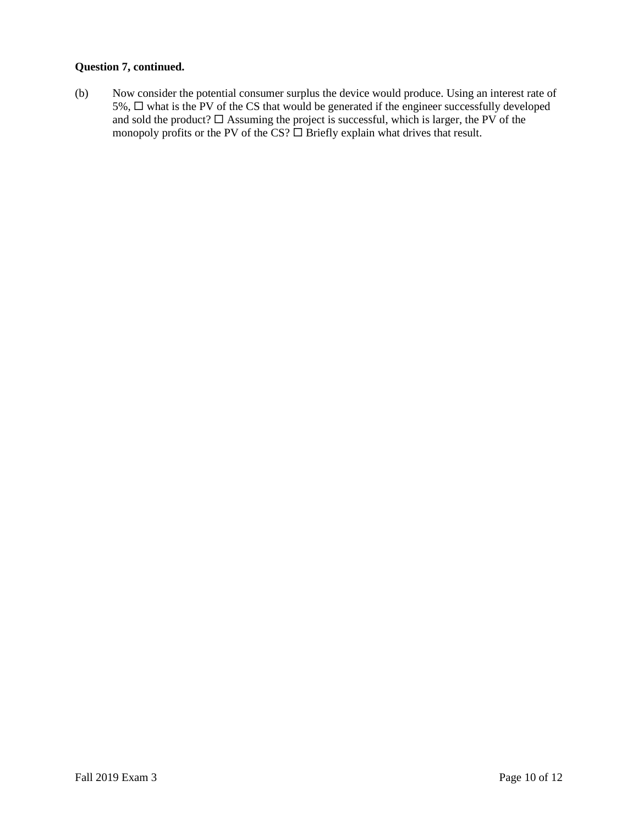### **Question 7, continued.**

(b) Now consider the potential consumer surplus the device would produce. Using an interest rate of  $5\%$ ,  $\Box$  what is the PV of the CS that would be generated if the engineer successfully developed and sold the product?  $\Box$  Assuming the project is successful, which is larger, the PV of the monopoly profits or the PV of the CS?  $\Box$  Briefly explain what drives that result.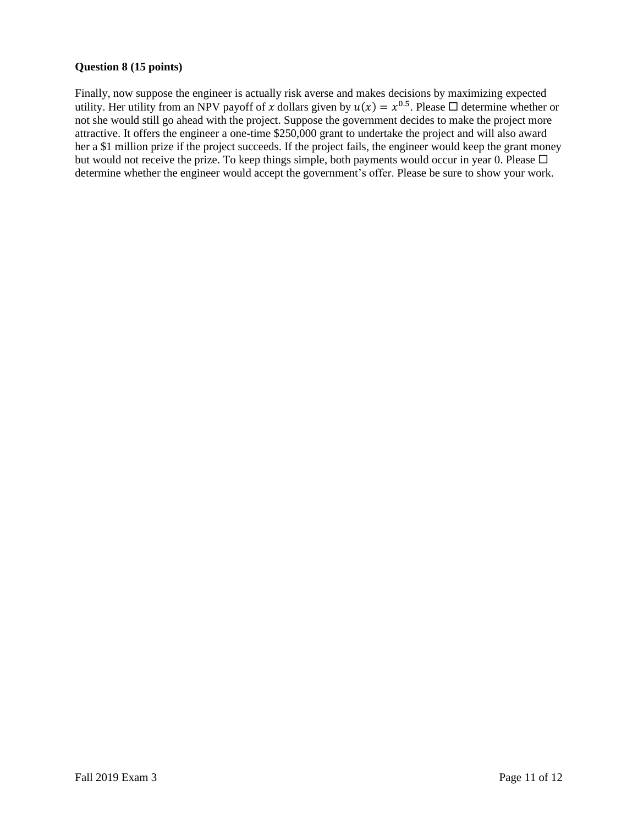## **Question 8 (15 points)**

Finally, now suppose the engineer is actually risk averse and makes decisions by maximizing expected utility. Her utility from an NPV payoff of x dollars given by  $u(x) = x^{0.5}$ . Please  $\Box$  determine whether or not she would still go ahead with the project. Suppose the government decides to make the project more attractive. It offers the engineer a one-time \$250,000 grant to undertake the project and will also award her a \$1 million prize if the project succeeds. If the project fails, the engineer would keep the grant money but would not receive the prize. To keep things simple, both payments would occur in year 0. Please  $\Box$ determine whether the engineer would accept the government's offer. Please be sure to show your work.